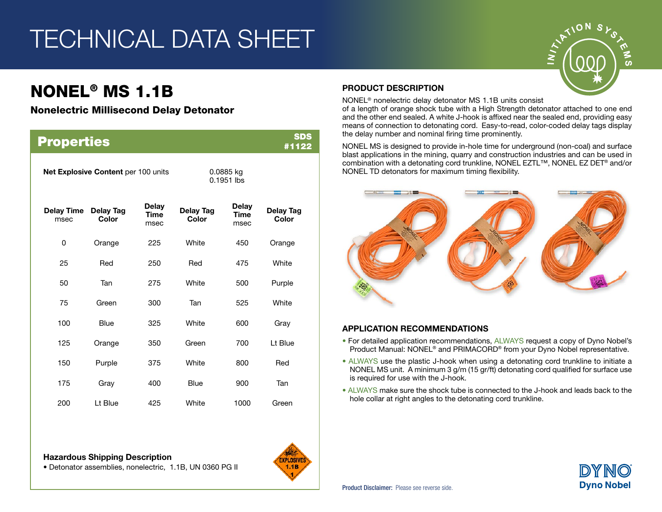# TECHNICAL DATA SHEET

## NONEL® MS 1.1B

### Nonelectric Millisecond Delay Detonator

| <b>Properties</b>                   |                           |                                     |                           |                              |                           |  |  |  |
|-------------------------------------|---------------------------|-------------------------------------|---------------------------|------------------------------|---------------------------|--|--|--|
| Net Explosive Content per 100 units |                           |                                     | 0.0885 kg<br>$0.1951$ lbs |                              |                           |  |  |  |
| <b>Delay Time</b><br>msec           | <b>Delay Tag</b><br>Color | <b>Delay</b><br><b>Time</b><br>msec | Delay Tag<br>Color        | Delay<br><b>Time</b><br>msec | <b>Delay Tag</b><br>Color |  |  |  |
| 0                                   | Orange                    | 225                                 | White                     | 450                          | Orange                    |  |  |  |
| 25                                  | Red                       | 250                                 | Red                       | 475                          | White                     |  |  |  |
| 50                                  | Tan                       | 275                                 | White                     | 500                          | Purple                    |  |  |  |
| 75                                  | Green                     | 300                                 | Tan                       | 525                          | White                     |  |  |  |
| 100                                 | <b>Blue</b>               | 325                                 | White                     | 600                          | Gray                      |  |  |  |
| 125                                 | Orange                    | 350                                 | Green                     | 700                          | Lt Blue                   |  |  |  |
| 150                                 | Purple                    | 375                                 | White                     | 800                          | Red                       |  |  |  |
| 175                                 | Gray                      | 400                                 | <b>Blue</b>               | 900                          | Tan                       |  |  |  |
| 200                                 | Lt Blue                   | 425                                 | White                     | 1000                         | Green                     |  |  |  |





### PRODUCT DESCRIPTION

NONEL® nonelectric delay detonator MS 1.1B units consist

of a length of orange shock tube with a High Strength detonator attached to one end and the other end sealed. A white J-hook is affixed near the sealed end, providing easy means of connection to detonating cord. Easy-to-read, color-coded delay tags display the delay number and nominal firing time prominently.

NONEL MS is designed to provide in-hole time for underground (non-coal) and surface blast applications in the mining, quarry and construction industries and can be used in combination with a detonating cord trunkline, NONEL EZTL™, NONEL EZ DET® and/or NONEL TD detonators for maximum timing flexibility.



#### APPLICATION RECOMMENDATIONS

- For detailed application recommendations, ALWAYS request a copy of Dyno Nobel's Product Manual: NONEL® and PRIMACORD® from your Dyno Nobel representative.
- ALWAYS use the plastic J-hook when using a detonating cord trunkline to initiate a NONEL MS unit. A minimum 3 g/m (15 gr/ft) detonating cord qualified for surface use is required for use with the J-hook.
- ALWAYS make sure the shock tube is connected to the J-hook and leads back to the hole collar at right angles to the detonating cord trunkline.